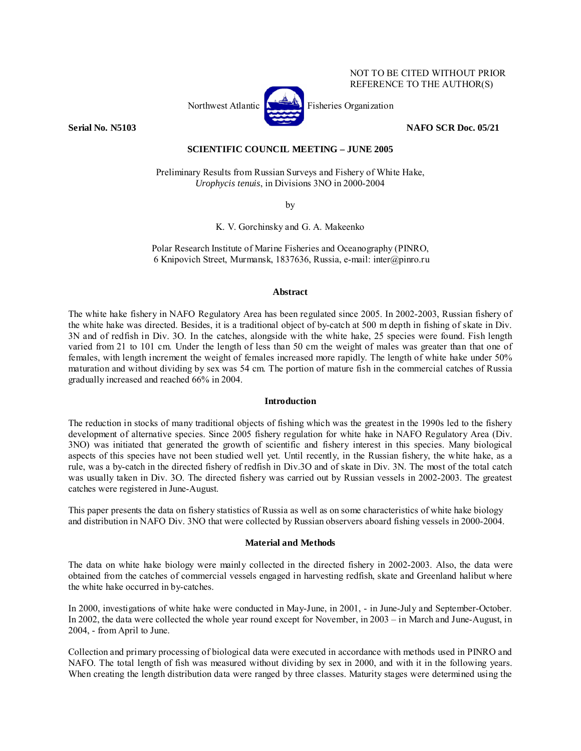#### NOT TO BE CITED WITHOUT PRIOR REFERENCE TO THE AUTHOR(S)

Northwest Atlantic **No. 1989** Fisheries Organization

**Serial No. N5103 NAFO SCR Doc. 05/21** 

# **SCIENTIFIC COUNCIL MEETING – JUNE 2005**

Preliminary Results from Russian Surveys and Fishery of White Hake, *Urophycis tenuis*, in Divisions 3NO in 2000-2004

by

K. V. Gorchinsky and G. A. Makeenko

Polar Research Institute of Marine Fisheries and Oceanography (PINRO, 6 Knipovich Street, Murmansk, 1837636, Russia, e-mail: inter@pinro.ru

## **Abstract**

The white hake fishery in NAFO Regulatory Area has been regulated since 2005. In 2002-2003, Russian fishery of the white hake was directed. Besides, it is a traditional object of by-catch at 500 m depth in fishing of skate in Div. 3N and of redfish in Div. 3O. In the catches, alongside with the white hake, 25 species were found. Fish length varied from 21 to 101 cm. Under the length of less than 50 cm the weight of males was greater than that one of females, with length increment the weight of females increased more rapidly. The length of white hake under 50% maturation and without dividing by sex was 54 cm. The portion of mature fish in the commercial catches of Russia gradually increased and reached 66% in 2004.

## **Introduction**

The reduction in stocks of many traditional objects of fishing which was the greatest in the 1990s led to the fishery development of alternative species. Since 2005 fishery regulation for white hake in NAFO Regulatory Area (Div. 3NO) was initiated that generated the growth of scientific and fishery interest in this species. Many biological aspects of this species have not been studied well yet. Until recently, in the Russian fishery, the white hake, as a rule, was a by-catch in the directed fishery of redfish in Div.3O and of skate in Div. 3N. The most of the total catch was usually taken in Div. 3O. The directed fishery was carried out by Russian vessels in 2002-2003. The greatest catches were registered in June-August.

This paper presents the data on fishery statistics of Russia as well as on some characteristics of white hake biology and distribution in NAFO Div. 3NO that were collected by Russian observers aboard fishing vessels in 2000-2004.

#### **Material and Methods**

The data on white hake biology were mainly collected in the directed fishery in 2002-2003. Also, the data were obtained from the catches of commercial vessels engaged in harvesting redfish, skate and Greenland halibut where the white hake occurred in by-catches.

In 2000, investigations of white hake were conducted in May-June, in 2001, - in June-July and September-October. In 2002, the data were collected the whole year round except for November, in 2003 – in March and June-August, in 2004, - from April to June.

Collection and primary processing of biological data were executed in accordance with methods used in PINRO and NAFO. The total length of fish was measured without dividing by sex in 2000, and with it in the following years. When creating the length distribution data were ranged by three classes. Maturity stages were determined using the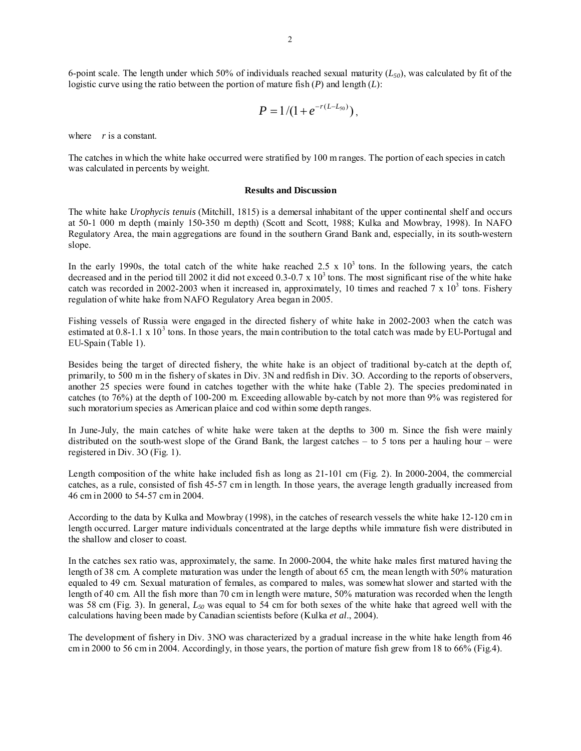6-point scale. The length under which 50% of individuals reached sexual maturity  $(L_{50})$ , was calculated by fit of the logistic curve using the ratio between the portion of mature fish (*P*) and length (*L*):

$$
P=1/(1+e^{-r(L-L_{50})}),
$$

where *r* is a constant.

The catches in which the white hake occurred were stratified by 100 m ranges. The portion of each species in catch was calculated in percents by weight.

#### **Results and Discussion**

The white hake *Urophycis tenuis* (Mitchill, 1815) is a demersal inhabitant of the upper continental shelf and occurs at 50-1 000 m depth (mainly 150-350 m depth) (Scott and Scott, 1988; Kulka and Mowbray, 1998). In NAFO Regulatory Area, the main aggregations are found in the southern Grand Bank and, especially, in its south-western slope.

In the early 1990s, the total catch of the white hake reached 2.5 x  $10<sup>3</sup>$  tons. In the following years, the catch decreased and in the period till 2002 it did not exceed  $0.3$ -0.7 x  $10<sup>3</sup>$  tons. The most significant rise of the white hake catch was recorded in 2002-2003 when it increased in, approximately, 10 times and reached  $7 \times 10^3$  tons. Fishery regulation of white hake from NAFO Regulatory Area began in 2005.

Fishing vessels of Russia were engaged in the directed fishery of white hake in 2002-2003 when the catch was estimated at 0.8-1.1 x 10<sup>3</sup> tons. In those years, the main contribution to the total catch was made by EU-Portugal and EU-Spain (Table 1).

Besides being the target of directed fishery, the white hake is an object of traditional by-catch at the depth of, primarily, to 500 m in the fishery of skates in Div. 3N and redfish in Div. 3O. According to the reports of observers, another 25 species were found in catches together with the white hake (Table 2). The species predominated in catches (to 76%) at the depth of 100-200 m. Exceeding allowable by-catch by not more than 9% was registered for such moratorium species as American plaice and cod within some depth ranges.

In June-July, the main catches of white hake were taken at the depths to 300 m. Since the fish were mainly distributed on the south-west slope of the Grand Bank, the largest catches – to 5 tons per a hauling hour – were registered in Div. 3O (Fig. 1).

Length composition of the white hake included fish as long as 21-101 cm (Fig. 2). In 2000-2004, the commercial catches, as a rule, consisted of fish 45-57 cm in length. In those years, the average length gradually increased from 46 cm in 2000 to 54-57 cm in 2004.

According to the data by Kulka and Mowbray (1998), in the catches of research vessels the white hake 12-120 cm in length occurred. Larger mature individuals concentrated at the large depths while immature fish were distributed in the shallow and closer to coast.

In the catches sex ratio was, approximately, the same. In 2000-2004, the white hake males first matured having the length of 38 cm. A complete maturation was under the length of about 65 cm, the mean length with 50% maturation equaled to 49 cm. Sexual maturation of females, as compared to males, was somewhat slower and started with the length of 40 cm. All the fish more than 70 cm in length were mature, 50% maturation was recorded when the length was 58 cm (Fig. 3). In general, *L50* was equal to 54 cm for both sexes of the white hake that agreed well with the calculations having been made by Canadian scientists before (Kulka *et al*., 2004).

The development of fishery in Div. 3NO was characterized by a gradual increase in the white hake length from 46 cm in 2000 to 56 cm in 2004. Accordingly, in those years, the portion of mature fish grew from 18 to 66% (Fig.4).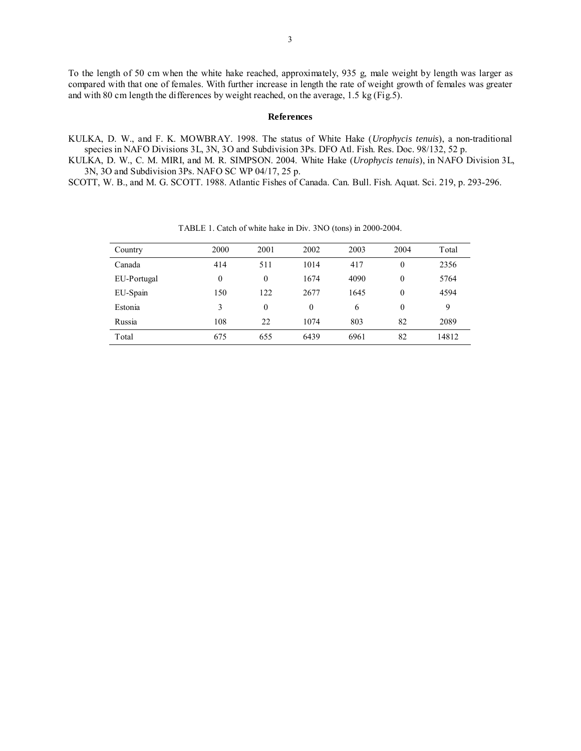To the length of 50 cm when the white hake reached, approximately, 935 g, male weight by length was larger as compared with that one of females. With further increase in length the rate of weight growth of females was greater and with 80 cm length the differences by weight reached, on the average, 1.5 kg (Fig.5).

#### **References**

KULKA, D. W., and F. K. MOWBRAY. 1998. The status of White Hake (*Urophycis tenuis*), a non-traditional species in NAFO Divisions 3L, 3N, 3O and Subdivision 3Ps. DFO Atl. Fish. Res. Doc. 98/132, 52 p.

KULKA, D. W., C. M. MIRI, and M. R. SIMPSON. 2004. White Hake (*Urophycis tenuis*), in NAFO Division 3L, 3N, 3O and Subdivision 3Ps. NAFO SC WP 04/17, 25 p.

SCOTT, W. B., and M. G. SCOTT. 1988. Atlantic Fishes of Canada. Can. Bull. Fish. Aquat. Sci. 219, p. 293-296.

| Country     | 2000     | 2001     | 2002     | 2003 | 2004     | Total |
|-------------|----------|----------|----------|------|----------|-------|
| Canada      | 414      | 511      | 1014     | 417  | $\theta$ | 2356  |
| EU-Portugal | $\theta$ | $\theta$ | 1674     | 4090 | $\theta$ | 5764  |
| EU-Spain    | 150      | 122      | 2677     | 1645 | $\theta$ | 4594  |
| Estonia     | 3        | $\theta$ | $\theta$ | 6    | $\theta$ | 9     |
| Russia      | 108      | 22       | 1074     | 803  | 82       | 2089  |
| Total       | 675      | 655      | 6439     | 6961 | 82       | 14812 |

TABLE 1. Catch of white hake in Div. 3NO (tons) in 2000-2004.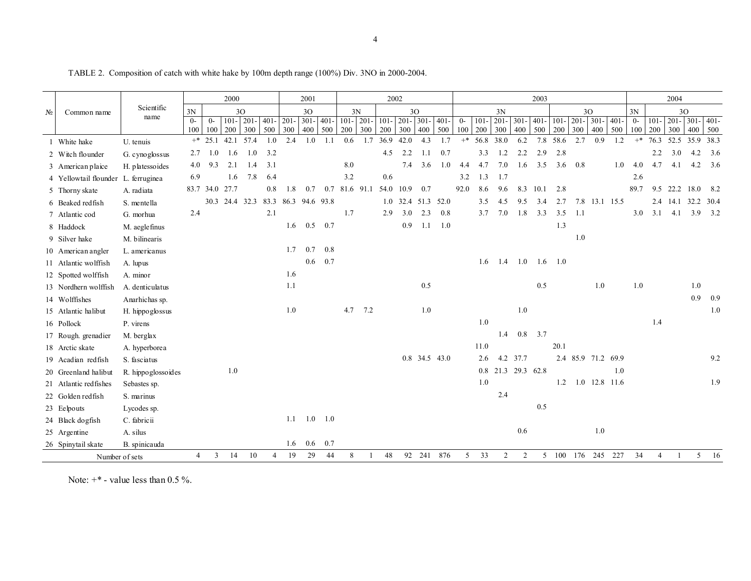TABLE 2. Composition of catch with white hake by 100m depth range (100%) Div. 3NO in 2000-2004.

| $N_2$<br>Common name |                                     | 2000                    |      |          |                                    | 2001    |     |               | 2002    |         |                 |     |                     |                    | 2003          |     |       |           |         |                    |           |          |                    | 2004          |         |       |                |               |                     |         |
|----------------------|-------------------------------------|-------------------------|------|----------|------------------------------------|---------|-----|---------------|---------|---------|-----------------|-----|---------------------|--------------------|---------------|-----|-------|-----------|---------|--------------------|-----------|----------|--------------------|---------------|---------|-------|----------------|---------------|---------------------|---------|
|                      | Scientific                          | $3N$<br>30 <sup>°</sup> |      |          | 3O                                 |         | 3N  |               | 3O      |         |                 |     | 3N                  |                    |               |     |       |           | 3O      |                    | 3N        | 30       |                    |               |         |       |                |               |                     |         |
|                      |                                     | name                    | $0-$ | $^{0-}$  | $101 -$                            | $201 -$ |     | $401 - 201 -$ | $301 -$ | $401 -$ |                 |     | $101 - 201 - 101 -$ | $201 - 301 - 401$  |               |     | $0-$  | $101 -$   | $201 -$ | $301 -$            | $401 -$   |          | $101 - 201 -$      | $301 -$       | $401 -$ | $0-$  | $101 -$        | $201 - 301 -$ |                     | $401 -$ |
|                      |                                     |                         | 100  | 100      | 200                                | 300     | 500 | 300           | 400     | 500     | 200             | 300 | 200                 | 300                | 400           | 500 | 100   | 200       | 300     | 400                | 500       | 200      | 300                | 400           | 500     | 100   | 200            | 300           | 400                 | 500     |
|                      | 1 White hake                        | U. tenuis               |      | $+$ 25.1 | 42.1 57.4                          |         | 1.0 | 2.4           | 1.0     | 1.1     | 0.6             | 1.7 | 36.9                | 42.0               | 4.3           | 1.7 | $+^*$ | 56.8 38.0 |         | 6.2                |           | 7.8 58.6 | 2.7                | 0.9           | 1.2     | $+$ * |                |               | 76.3 52.5 35.9 38.3 |         |
|                      | 2 Witch flounder                    | G. cynoglossus          | 2.7  | 1.0      | 1.6                                | 1.0     | 3.2 |               |         |         |                 |     | 4.5                 | 2.2                | 11            | 0.7 |       | 3.3       | 1.2     | 2.2                | 2.9       | 2.8      |                    |               |         |       | 2.2            | 3.0           | 4.2                 | 3.6     |
|                      | 3 American plaice                   | H. platessoides         | 4.0  | 9.3      | 2.1                                | 1.4     | 3.1 |               |         |         | 8.0             |     |                     | 7.4                | 3.6           | 1.0 | 4.4   | 4.7       | 7.0     | 1.6                | 3.5       |          | $3.6 \quad 0.8$    |               | 1.0     | 4.0   | 4.7            | 4.1           | $4.2\quad 3.6$      |         |
|                      | 4 Yellowtail flounder L. ferruginea |                         | 6.9  |          | 1.6                                | 7.8     | 6.4 |               |         |         | 3.2             |     | 0.6                 |                    |               |     | 3.2   | 1.3       | 1.7     |                    |           |          |                    |               |         | 2.6   |                |               |                     |         |
|                      | 5 Thorny skate                      | A. radiata              |      |          | 83.7 34.0 27.7                     |         | 0.8 | 1.8           | 0.7     |         | $0.7$ 81.6 91.1 |     | 54.0 10.9           |                    | 0.7           |     | 92.0  | 8.6       | 9.6     | 8.3                | 10.1      | 2.8      |                    |               |         | 89.7  |                | 9.5 22.2 18.0 |                     | 8.2     |
|                      | 6 Beaked redfish                    | S. mentella             |      |          | 30.3 24.4 32.3 83.3 86.3 94.6 93.8 |         |     |               |         |         |                 |     |                     | 1.0 32.4 51.3 52.0 |               |     |       | 3.5       | 4.5     | 9.5                | 3.4       | 2.7      |                    | 7.8 13.1 15.5 |         |       |                |               | 2.4 14.1 32.2 30.4  |         |
|                      | 7 Atlantic cod                      | G. morhua               | 2.4  |          |                                    |         | 2.1 |               |         |         | 1.7             |     | 2.9                 | 3.0                | 2.3           | 0.8 |       | 3.7       | 7.0     | 1.8                | 3.3       | 3.5      | 1.1                |               |         | 3.0   | 3.1            | 4.1           | 3.9                 | 3.2     |
|                      | 8 Haddock                           | M. aeglefinus           |      |          |                                    |         |     | 1.6           | 0.5     | 0.7     |                 |     |                     | 0.9                | 1.1           | 1.0 |       |           |         |                    |           | 1.3      |                    |               |         |       |                |               |                     |         |
|                      | 9 Silver hake                       | M. bilinearis           |      |          |                                    |         |     |               |         |         |                 |     |                     |                    |               |     |       |           |         |                    |           |          | 1.0                |               |         |       |                |               |                     |         |
|                      | 10 American angler                  | L. americanus           |      |          |                                    |         |     | 1.7           | 0.7     | 0.8     |                 |     |                     |                    |               |     |       |           |         |                    |           |          |                    |               |         |       |                |               |                     |         |
|                      | 11 Atlantic wolffish                | A. lupus                |      |          |                                    |         |     |               | $0.6\,$ | 0.7     |                 |     |                     |                    |               |     |       | 1.6       | 1.4     | 1.0                | 1.6       | 1.0      |                    |               |         |       |                |               |                     |         |
|                      | 12 Spotted wolffish                 | A. minor                |      |          |                                    |         |     | 1.6           |         |         |                 |     |                     |                    |               |     |       |           |         |                    |           |          |                    |               |         |       |                |               |                     |         |
|                      | 13 Nordhern wolffish                | A. denticulatus         |      |          |                                    |         |     | 1.1           |         |         |                 |     |                     |                    | 0.5           |     |       |           |         |                    | 0.5       |          |                    | 1.0           |         | 1.0   |                |               | 1.0                 |         |
|                      | 14 Wolffishes                       | Anarhichas sp.          |      |          |                                    |         |     |               |         |         |                 |     |                     |                    |               |     |       |           |         |                    |           |          |                    |               |         |       |                |               | 0.9                 | 0.9     |
|                      | 15 Atlantic halibut                 | H. hippoglossus         |      |          |                                    |         |     | $1.0\,$       |         |         | 4.7             | 7.2 |                     |                    | 1.0           |     |       |           |         | 1.0                |           |          |                    |               |         |       |                |               |                     | 1.0     |
|                      | 16 Pollock                          | P. virens               |      |          |                                    |         |     |               |         |         |                 |     |                     |                    |               |     |       | 1.0       |         |                    |           |          |                    |               |         |       | 1.4            |               |                     |         |
|                      | 17 Rough. grenadier                 | M. berglax              |      |          |                                    |         |     |               |         |         |                 |     |                     |                    |               |     |       |           | 1.4     |                    | $0.8$ 3.7 |          |                    |               |         |       |                |               |                     |         |
|                      | 18 Arctic skate                     | A. hyperborea           |      |          |                                    |         |     |               |         |         |                 |     |                     |                    |               |     |       | 11.0      |         |                    |           | 20.1     |                    |               |         |       |                |               |                     |         |
|                      | 19 Acadian redfish                  | S. fasciatus            |      |          |                                    |         |     |               |         |         |                 |     |                     |                    | 0.8 34.5 43.0 |     |       | 2.6       |         | 4.2 37.7           |           |          | 2.4 85.9 71.2 69.9 |               |         |       |                |               |                     | 9.2     |
|                      | 20 Greenland halibut                | R. hippoglossoides      |      |          | 1.0                                |         |     |               |         |         |                 |     |                     |                    |               |     |       |           |         | 0.8 21.3 29.3 62.8 |           |          |                    |               | 1.0     |       |                |               |                     |         |
|                      | 21 Atlantic redfishes               | Sebastes sp.            |      |          |                                    |         |     |               |         |         |                 |     |                     |                    |               |     |       | $1.0\,$   |         |                    |           | 1.2      |                    | 1.0 12.8 11.6 |         |       |                |               |                     | 1.9     |
|                      | 22 Golden redfish                   | S. marinus              |      |          |                                    |         |     |               |         |         |                 |     |                     |                    |               |     |       |           | 2.4     |                    |           |          |                    |               |         |       |                |               |                     |         |
|                      | 23 Eelpouts                         | Lycodes sp.             |      |          |                                    |         |     |               |         |         |                 |     |                     |                    |               |     |       |           |         |                    | 0.5       |          |                    |               |         |       |                |               |                     |         |
|                      | 24 Black dogfish                    | C. fabricii             |      |          |                                    |         |     | 1.1           | 1.0     | 1.0     |                 |     |                     |                    |               |     |       |           |         |                    |           |          |                    |               |         |       |                |               |                     |         |
|                      | 25 Argentine                        | A. silus                |      |          |                                    |         |     |               |         |         |                 |     |                     |                    |               |     |       |           |         | 0.6                |           |          |                    | 1.0           |         |       |                |               |                     |         |
|                      | 26 Spinytail skate                  | B. spinicauda           |      |          |                                    |         |     | 1.6           | 0.6     | 0.7     |                 |     |                     |                    |               |     |       |           |         |                    |           |          |                    |               |         |       |                |               |                     |         |
|                      | Number of sets                      |                         | 4    | 3        | 14                                 | 10      | 4   | 19            | 29      | 44      | 8               |     | 48                  |                    | 92 241        | 876 | 5     | 33        | 2       | 2                  |           | 5 100    |                    | 176 245 227   |         | 34    | $\overline{4}$ |               |                     | 5 16    |

Note:  $+$  \* - value less than 0.5 %.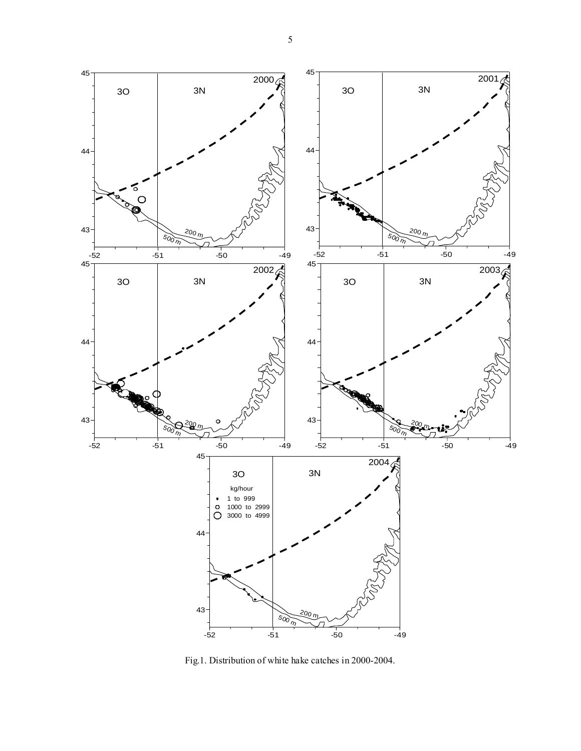

Fig.1. Distribution of white hake catches in 2000-2004.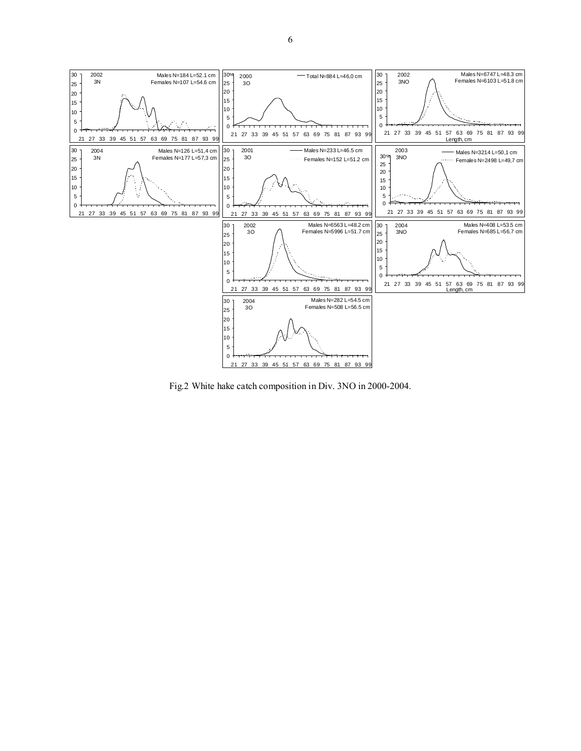

Fig.2 White hake catch composition in Div. 3NO in 2000-2004.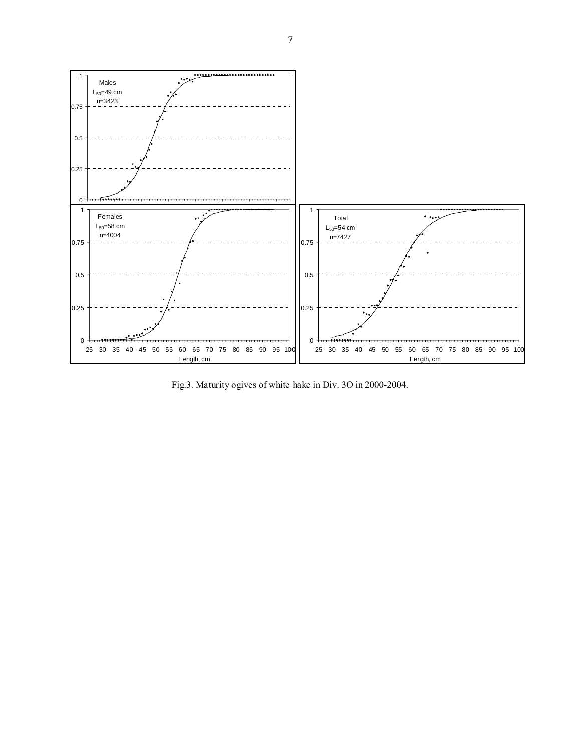

Fig.3. Maturity ogives of white hake in Div. 3О in 2000-2004.